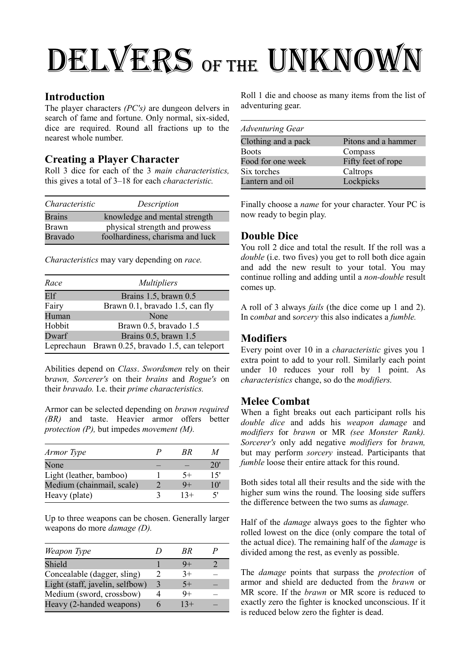# DELVERS OF THE UNKNOWN

#### **Introduction**

The player characters *(PC's)* are dungeon delvers in search of fame and fortune. Only normal, six-sided, dice are required. Round all fractions up to the nearest whole number.

# **Creating a Player Character**

Roll 3 dice for each of the 3 *main characteristics,* this gives a total of 3–18 for each *characteristic.*

| Characteristic | Description                      |
|----------------|----------------------------------|
| <b>Brains</b>  | knowledge and mental strength    |
| <b>Brawn</b>   | physical strength and prowess    |
| <b>Bravado</b> | foolhardiness, charisma and luck |

*Characteristics* may vary depending on *race.*

| Race   | <i>Multipliers</i>                               |
|--------|--------------------------------------------------|
| Elf    | Brains 1.5, brawn 0.5                            |
| Fairy  | Brawn 0.1, bravado 1.5, can fly                  |
| Human  | None                                             |
| Hobbit | Brawn 0.5, bravado 1.5                           |
| Dwarf  | Brains 0.5, brawn 1.5                            |
|        | Leprechaun Brawn 0.25, bravado 1.5, can teleport |

Abilities depend on *Class*. *Swordsmen* rely on their b*rawn, Sorcerer's* on their *brains* and *Rogue's* on their *bravado.* I.e. their *prime characteristics.*

Armor can be selected depending on *brawn required (BR)* and taste. Heavier armor offers better *protection (P),* but impedes *movement (M).*

| Armor Type                |   | RR    | M            |
|---------------------------|---|-------|--------------|
| None                      |   |       | $20^{\circ}$ |
| Light (leather, bamboo)   |   | $5+$  | 15'          |
| Medium (chainmail, scale) | っ | 9+    | $10^{\circ}$ |
| Heavy (plate)             | 3 | $13+$ | ۲'           |

Up to three weapons can be chosen. Generally larger weapons do more *damage (D).*

| Weapon Type                     |   | RR    |  |
|---------------------------------|---|-------|--|
| Shield                          |   | - 4   |  |
| Concealable (dagger, sling)     | 2 | $3+$  |  |
| Light (staff, javelin, selfbow) | 3 | $5+$  |  |
| Medium (sword, crossbow)        |   | Q+    |  |
| Heavy (2-handed weapons)        | n | $13+$ |  |

Roll 1 die and choose as many items from the list of adventuring gear.

| <b>Adventuring Gear</b> |                     |
|-------------------------|---------------------|
| Clothing and a pack     | Pitons and a hammer |
| <b>Boots</b>            | Compass             |
| Food for one week       | Fifty feet of rope  |
| Six torches             | Caltrops            |
| Lantern and oil         | Lockpicks           |

Finally choose a *name* for your character. Your PC is now ready to begin play.

## **Double Dice**

You roll 2 dice and total the result. If the roll was a *double* (i.e. two fives) you get to roll both dice again and add the new result to your total. You may continue rolling and adding until a *non-double* result comes up.

A roll of 3 always *fails* (the dice come up 1 and 2). In c*ombat* and s*orcery* this also indicates a *fumble.*

# **Modifiers**

Every point over 10 in a *characteristic* gives you 1 extra point to add to your roll. Similarly each point under 10 reduces your roll by 1 point. As *characteristics* change, so do the *modifiers.*

## **Melee Combat**

When a fight breaks out each participant rolls his *double dice* and adds his *weapon damage* and *modifiers* for *brawn* or MR *(see Monster Rank). Sorcerer's* only add negative *modifiers* for *brawn,* but may perform *sorcery* instead. Participants that *fumble* loose their entire attack for this round.

Both sides total all their results and the side with the higher sum wins the round. The loosing side suffers the difference between the two sums as *damage.*

Half of the *damage* always goes to the fighter who rolled lowest on the dice (only compare the total of the actual dice). The remaining half of the *damage* is divided among the rest, as evenly as possible.

The *damage* points that surpass the *protection* of armor and shield are deducted from the *brawn* or MR score. If the *brawn* or MR score is reduced to exactly zero the fighter is knocked unconscious. If it is reduced below zero the fighter is dead.